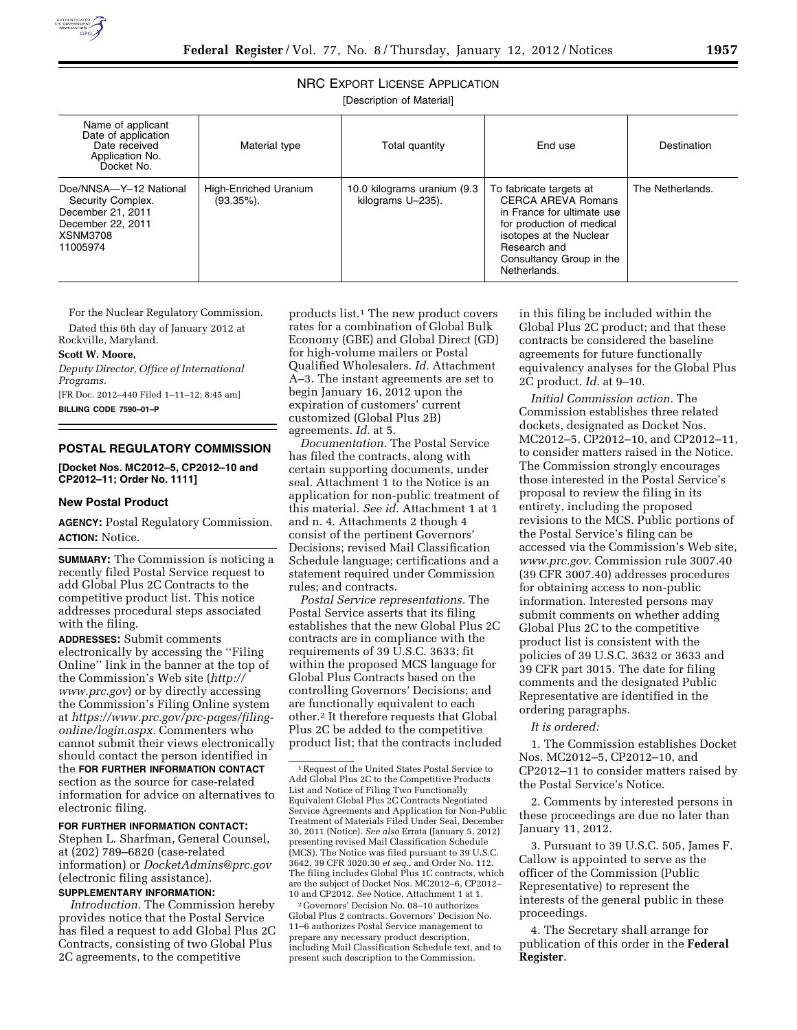

# NRC EXPORT LICENSE APPLICATION

[Description of Material]

| Name of applicant<br>Date of application<br>Date received<br>Application No.<br>Docket No.                           | Material type                          | Total quantity                                   | End use                                                                                                                                                                                         | Destination      |
|----------------------------------------------------------------------------------------------------------------------|----------------------------------------|--------------------------------------------------|-------------------------------------------------------------------------------------------------------------------------------------------------------------------------------------------------|------------------|
| Doe/NNSA-Y-12 National<br>Security Complex.<br>December 21, 2011<br>December 22, 2011<br><b>XSNM3708</b><br>11005974 | High-Enriched Uranium<br>$(93.35\%)$ . | 10.0 kilograms uranium (9.3<br>kilograms U-235). | To fabricate targets at<br>CERCA AREVA Romans<br>in France for ultimate use<br>for production of medical<br>isotopes at the Nuclear<br>Research and<br>Consultancy Group in the<br>Netherlands. | The Netherlands. |

For the Nuclear Regulatory Commission. Dated this 6th day of January 2012 at Rockville, Maryland.

#### **Scott W. Moore,**

*Deputy Director, Office of International Programs.* 

[FR Doc. 2012–440 Filed 1–11–12; 8:45 am] **BILLING CODE 7590–01–P** 

### **POSTAL REGULATORY COMMISSION**

**[Docket Nos. MC2012–5, CP2012–10 and CP2012–11; Order No. 1111]** 

## **New Postal Product**

**AGENCY:** Postal Regulatory Commission. **ACTION:** Notice.

**SUMMARY:** The Commission is noticing a recently filed Postal Service request to add Global Plus 2C Contracts to the competitive product list. This notice addresses procedural steps associated with the filing.

**ADDRESSES:** Submit comments electronically by accessing the ''Filing Online'' link in the banner at the top of the Commission's Web site (*[http://](http://www.prc.gov) [www.prc.gov](http://www.prc.gov)*) or by directly accessing the Commission's Filing Online system at *[https://www.prc.gov/prc-pages/filing](https://www.prc.gov/prc-pages/filing-online/login.aspx)[online/login.aspx.](https://www.prc.gov/prc-pages/filing-online/login.aspx)* Commenters who cannot submit their views electronically should contact the person identified in the **FOR FURTHER INFORMATION CONTACT** section as the source for case-related information for advice on alternatives to electronic filing.

# **FOR FURTHER INFORMATION CONTACT:**

Stephen L. Sharfman, General Counsel, at (202) 789–6820 (case-related information) or *[DocketAdmins@prc.gov](mailto:DocketAdmins@prc.gov)*  (electronic filing assistance).

# **SUPPLEMENTARY INFORMATION:**

*Introduction.* The Commission hereby provides notice that the Postal Service has filed a request to add Global Plus 2C Contracts, consisting of two Global Plus 2C agreements, to the competitive

products list.1 The new product covers rates for a combination of Global Bulk Economy (GBE) and Global Direct (GD) for high-volume mailers or Postal Qualified Wholesalers. *Id.* Attachment A–3. The instant agreements are set to begin January 16, 2012 upon the expiration of customers' current customized (Global Plus 2B) agreements. *Id.* at 5.

*Documentation.* The Postal Service has filed the contracts, along with certain supporting documents, under seal. Attachment 1 to the Notice is an application for non-public treatment of this material. *See id.* Attachment 1 at 1 and n. 4. Attachments 2 though 4 consist of the pertinent Governors' Decisions; revised Mail Classification Schedule language; certifications and a statement required under Commission rules; and contracts.

*Postal Service representations.* The Postal Service asserts that its filing establishes that the new Global Plus 2C contracts are in compliance with the requirements of 39 U.S.C. 3633; fit within the proposed MCS language for Global Plus Contracts based on the controlling Governors' Decisions; and are functionally equivalent to each other.2 It therefore requests that Global Plus 2C be added to the competitive product list; that the contracts included

2 Governors' Decision No. 08–10 authorizes Global Plus 2 contracts. Governors' Decision No. 11–6 authorizes Postal Service management to prepare any necessary product description, including Mail Classification Schedule text, and to present such description to the Commission.

in this filing be included within the Global Plus 2C product; and that these contracts be considered the baseline agreements for future functionally equivalency analyses for the Global Plus 2C product. *Id.* at 9–10.

*Initial Commission action.* The Commission establishes three related dockets, designated as Docket Nos. MC2012–5, CP2012–10, and CP2012–11, to consider matters raised in the Notice. The Commission strongly encourages those interested in the Postal Service's proposal to review the filing in its entirety, including the proposed revisions to the MCS. Public portions of the Postal Service's filing can be accessed via the Commission's Web site, *[www.prc.gov.](http://www.prc.gov)* Commission rule 3007.40 (39 CFR 3007.40) addresses procedures for obtaining access to non-public information. Interested persons may submit comments on whether adding Global Plus 2C to the competitive product list is consistent with the policies of 39 U.S.C. 3632 or 3633 and 39 CFR part 3015. The date for filing comments and the designated Public Representative are identified in the ordering paragraphs.

# *It is ordered:*

1. The Commission establishes Docket Nos. MC2012–5, CP2012–10, and CP2012–11 to consider matters raised by the Postal Service's Notice.

2. Comments by interested persons in these proceedings are due no later than January 11, 2012.

3. Pursuant to 39 U.S.C. 505, James F. Callow is appointed to serve as the officer of the Commission (Public Representative) to represent the interests of the general public in these proceedings.

4. The Secretary shall arrange for publication of this order in the **Federal Register**.

<sup>1</sup>Request of the United States Postal Service to Add Global Plus 2C to the Competitive Products List and Notice of Filing Two Functionally Equivalent Global Plus 2C Contracts Negotiated Service Agreements and Application for Non-Public Treatment of Materials Filed Under Seal, December 30, 2011 (Notice). *See also* Errata (January 5, 2012) presenting revised Mail Classification Schedule (MCS). The Notice was filed pursuant to 39 U.S.C. 3642, 39 CFR 3020.30 *et seq.,* and Order No. 112. The filing includes Global Plus 1C contracts, which are the subject of Docket Nos. MC2012–6, CP2012– 10 and CP2012. *See* Notice, Attachment 1 at 1.